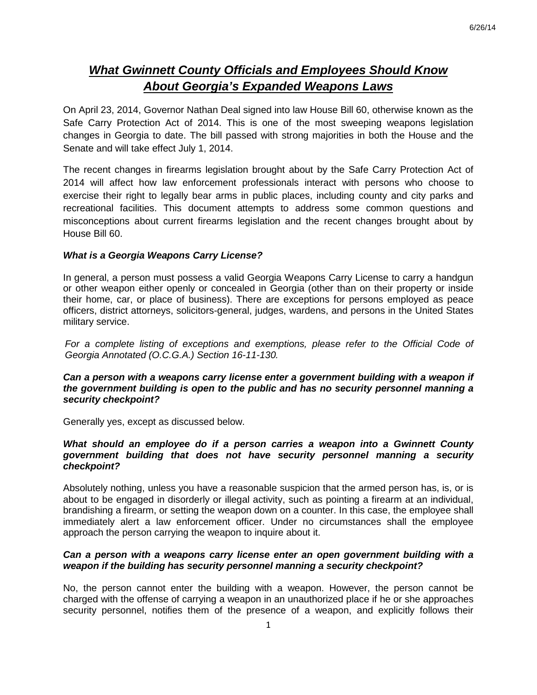# *What Gwinnett County Officials and Employees Should Know About Georgia's Expanded Weapons Laws*

On April 23, 2014, Governor Nathan Deal signed into law House Bill 60, otherwise known as the Safe Carry Protection Act of 2014. This is one of the most sweeping weapons legislation changes in Georgia to date. The bill passed with strong majorities in both the House and the Senate and will take effect July 1, 2014.

The recent changes in firearms legislation brought about by the Safe Carry Protection Act of 2014 will affect how law enforcement professionals interact with persons who choose to exercise their right to legally bear arms in public places, including county and city parks and recreational facilities. This document attempts to address some common questions and misconceptions about current firearms legislation and the recent changes brought about by House Bill 60.

### *What is a Georgia Weapons Carry License?*

In general, a person must possess a valid Georgia Weapons Carry License to carry a handgun or other weapon either openly or concealed in Georgia (other than on their property or inside their home, car, or place of business). There are exceptions for persons employed as peace officers, district attorneys, solicitors-general, judges, wardens, and persons in the United States military service.

*For a complete listing of exceptions and exemptions, please refer to the Official Code of Georgia Annotated (O.C.G.A.) Section 16-11-130.*

## Can a person with a weapons carry license enter a government building with a weapon if *the government building is open to the public and has no security personnel manning a security checkpoint?*

Generally yes, except as discussed below.

### *What should an employee do if a person carries a weapon into a Gwinnett County government building that does not have security personnel manning a security checkpoint?*

Absolutely nothing, unless you have a reasonable suspicion that the armed person has, is, or is about to be engaged in disorderly or illegal activity, such as pointing a firearm at an individual, brandishing a firearm, or setting the weapon down on a counter. In this case, the employee shall immediately alert a law enforcement officer. Under no circumstances shall the employee approach the person carrying the weapon to inquire about it.

## *Can a person with a weapons carry license enter an open government building with a weapon if the building has security personnel manning a security checkpoint?*

No, the person cannot enter the building with a weapon. However, the person cannot be charged with the offense of carrying a weapon in an unauthorized place if he or she approaches security personnel, notifies them of the presence of a weapon, and explicitly follows their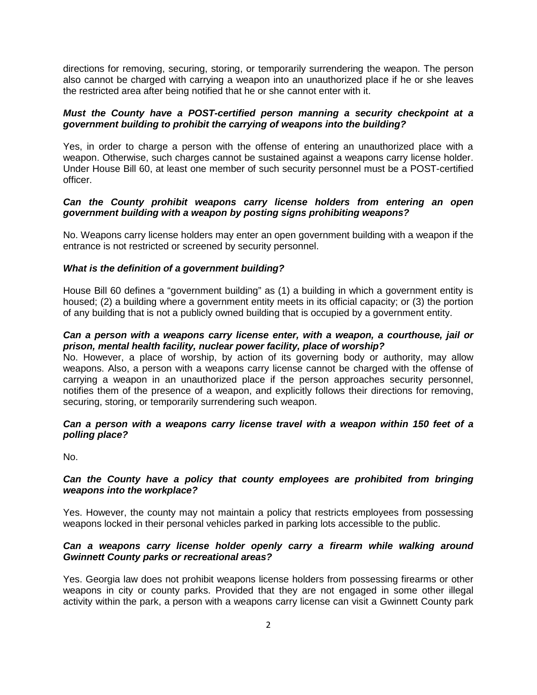directions for removing, securing, storing, or temporarily surrendering the weapon. The person also cannot be charged with carrying a weapon into an unauthorized place if he or she leaves the restricted area after being notified that he or she cannot enter with it.

## *Must the County have a POST-certified person manning a security checkpoint at a government building to prohibit the carrying of weapons into the building?*

Yes, in order to charge a person with the offense of entering an unauthorized place with a weapon. Otherwise, such charges cannot be sustained against a weapons carry license holder. Under House Bill 60, at least one member of such security personnel must be a POST-certified officer.

## *Can the County prohibit weapons carry license holders from entering an open government building with a weapon by posting signs prohibiting weapons?*

No. Weapons carry license holders may enter an open government building with a weapon if the entrance is not restricted or screened by security personnel.

# *What is the definition of a government building?*

House Bill 60 defines a "government building" as (1) a building in which a government entity is housed; (2) a building where a government entity meets in its official capacity; or (3) the portion of any building that is not a publicly owned building that is occupied by a government entity.

# *Can a person with a weapons carry license enter, with a weapon, a courthouse, jail or prison, mental health facility, nuclear power facility, place of worship?*

No. However, a place of worship, by action of its governing body or authority, may allow weapons. Also, a person with a weapons carry license cannot be charged with the offense of carrying a weapon in an unauthorized place if the person approaches security personnel, notifies them of the presence of a weapon, and explicitly follows their directions for removing, securing, storing, or temporarily surrendering such weapon.

### *Can a person with a weapons carry license travel with a weapon within 150 feet of a polling place?*

No.

### *Can the County have a policy that county employees are prohibited from bringing weapons into the workplace?*

Yes. However, the county may not maintain a policy that restricts employees from possessing weapons locked in their personal vehicles parked in parking lots accessible to the public.

# *Can a weapons carry license holder openly carry a firearm while walking around Gwinnett County parks or recreational areas?*

Yes. Georgia law does not prohibit weapons license holders from possessing firearms or other weapons in city or county parks. Provided that they are not engaged in some other illegal activity within the park, a person with a weapons carry license can visit a Gwinnett County park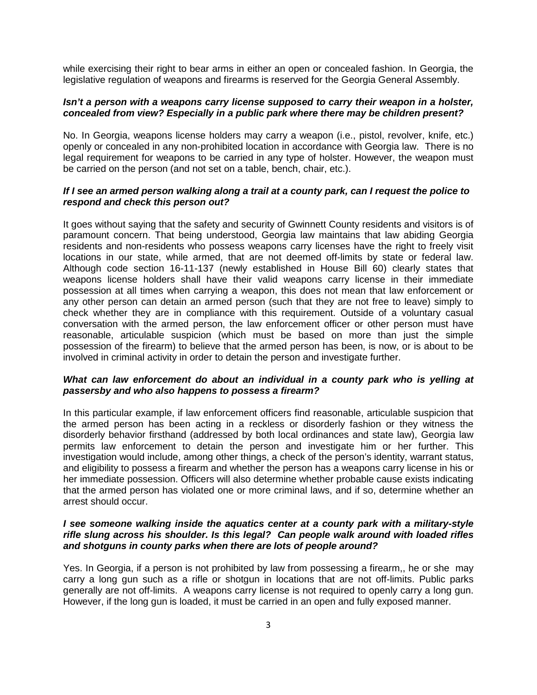while exercising their right to bear arms in either an open or concealed fashion. In Georgia, the legislative regulation of weapons and firearms is reserved for the Georgia General Assembly.

#### *Isn't a person with a weapons carry license supposed to carry their weapon in a holster, concealed from view? Especially in a public park where there may be children present?*

No. In Georgia, weapons license holders may carry a weapon (i.e., pistol, revolver, knife, etc.) openly or concealed in any non-prohibited location in accordance with Georgia law. There is no legal requirement for weapons to be carried in any type of holster. However, the weapon must be carried on the person (and not set on a table, bench, chair, etc.).

### *If I see an armed person walking along a trail at a county park, can I request the police to respond and check this person out?*

It goes without saying that the safety and security of Gwinnett County residents and visitors is of paramount concern. That being understood, Georgia law maintains that law abiding Georgia residents and non-residents who possess weapons carry licenses have the right to freely visit locations in our state, while armed, that are not deemed off-limits by state or federal law. Although code section 16-11-137 (newly established in House Bill 60) clearly states that weapons license holders shall have their valid weapons carry license in their immediate possession at all times when carrying a weapon, this does not mean that law enforcement or any other person can detain an armed person (such that they are not free to leave) simply to check whether they are in compliance with this requirement. Outside of a voluntary casual conversation with the armed person, the law enforcement officer or other person must have reasonable, articulable suspicion (which must be based on more than just the simple possession of the firearm) to believe that the armed person has been, is now, or is about to be involved in criminal activity in order to detain the person and investigate further.

#### *What can law enforcement do about an individual in a county park who is yelling at passersby and who also happens to possess a firearm?*

In this particular example, if law enforcement officers find reasonable, articulable suspicion that the armed person has been acting in a reckless or disorderly fashion or they witness the disorderly behavior firsthand (addressed by both local ordinances and state law), Georgia law permits law enforcement to detain the person and investigate him or her further. This investigation would include, among other things, a check of the person's identity, warrant status, and eligibility to possess a firearm and whether the person has a weapons carry license in his or her immediate possession. Officers will also determine whether probable cause exists indicating that the armed person has violated one or more criminal laws, and if so, determine whether an arrest should occur.

### *I see someone walking inside the aquatics center at a county park with a military-style rifle slung across his shoulder. Is this legal? Can people walk around with loaded rifles and shotguns in county parks when there are lots of people around?*

Yes. In Georgia, if a person is not prohibited by law from possessing a firearm,, he or she may carry a long gun such as a rifle or shotgun in locations that are not off-limits. Public parks generally are not off-limits. A weapons carry license is not required to openly carry a long gun. However, if the long gun is loaded, it must be carried in an open and fully exposed manner.